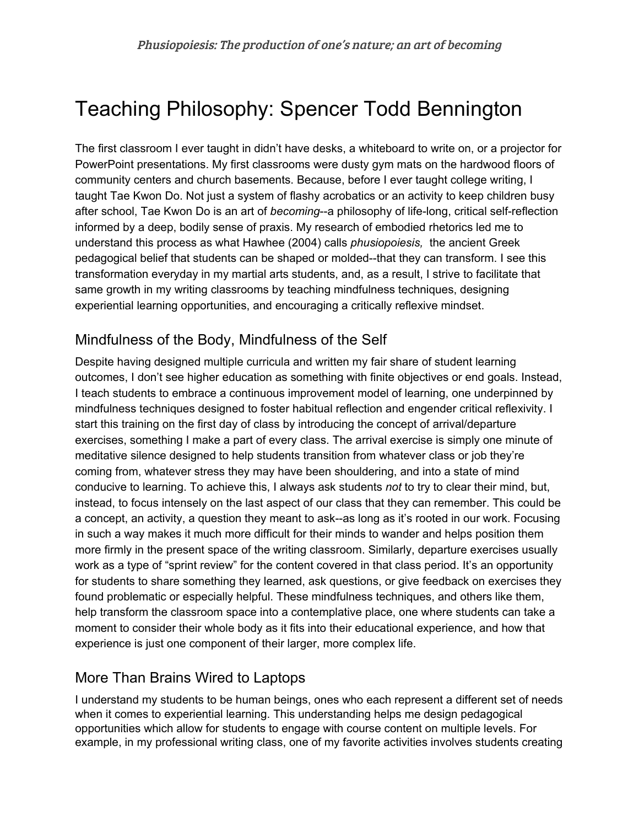## Teaching Philosophy: Spencer Todd Bennington

The first classroom I ever taught in didn't have desks, a whiteboard to write on, or a projector for PowerPoint presentations. My first classrooms were dusty gym mats on the hardwood floors of community centers and church basements. Because, before I ever taught college writing, I taught Tae Kwon Do. Not just a system of flashy acrobatics or an activity to keep children busy after school, Tae Kwon Do is an art of *becoming*--a philosophy of life-long, critical self-reflection informed by a deep, bodily sense of praxis. My research of embodied rhetorics led me to understand this process as what Hawhee (2004) calls *phusiopoiesis,* the ancient Greek pedagogical belief that students can be shaped or molded--that they can transform. I see this transformation everyday in my martial arts students, and, as a result, I strive to facilitate that same growth in my writing classrooms by teaching mindfulness techniques, designing experiential learning opportunities, and encouraging a critically reflexive mindset.

## Mindfulness of the Body, Mindfulness of the Self

Despite having designed multiple curricula and written my fair share of student learning outcomes, I don't see higher education as something with finite objectives or end goals. Instead, I teach students to embrace a continuous improvement model of learning, one underpinned by mindfulness techniques designed to foster habitual reflection and engender critical reflexivity. I start this training on the first day of class by introducing the concept of arrival/departure exercises, something I make a part of every class. The arrival exercise is simply one minute of meditative silence designed to help students transition from whatever class or job they're coming from, whatever stress they may have been shouldering, and into a state of mind conducive to learning. To achieve this, I always ask students *not* to try to clear their mind, but, instead, to focus intensely on the last aspect of our class that they can remember. This could be a concept, an activity, a question they meant to ask--as long as it's rooted in our work. Focusing in such a way makes it much more difficult for their minds to wander and helps position them more firmly in the present space of the writing classroom. Similarly, departure exercises usually work as a type of "sprint review" for the content covered in that class period. It's an opportunity for students to share something they learned, ask questions, or give feedback on exercises they found problematic or especially helpful. These mindfulness techniques, and others like them, help transform the classroom space into a contemplative place, one where students can take a moment to consider their whole body as it fits into their educational experience, and how that experience is just one component of their larger, more complex life.

## More Than Brains Wired to Laptops

I understand my students to be human beings, ones who each represent a different set of needs when it comes to experiential learning. This understanding helps me design pedagogical opportunities which allow for students to engage with course content on multiple levels. For example, in my professional writing class, one of my favorite activities involves students creating